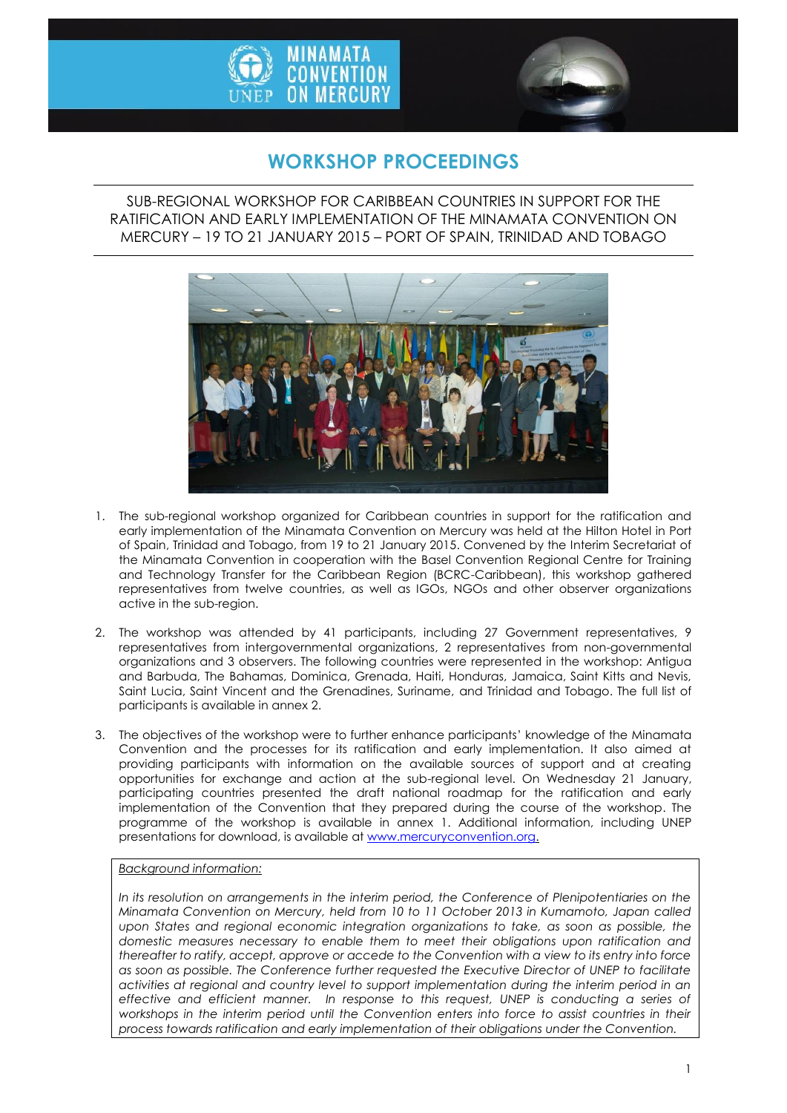



# **WORKSHOP PROCEEDINGS**

SUB-REGIONAL WORKSHOP FOR CARIBBEAN COUNTRIES IN SUPPORT FOR THE RATIFICATION AND EARLY IMPLEMENTATION OF THE MINAMATA CONVENTION ON MERCURY – 19 TO 21 JANUARY 2015 – PORT OF SPAIN, TRINIDAD AND TOBAGO



- 1. The sub-regional workshop organized for Caribbean countries in support for the ratification and early implementation of the Minamata Convention on Mercury was held at the Hilton Hotel in Port of Spain, Trinidad and Tobago, from 19 to 21 January 2015. Convened by the Interim Secretariat of the Minamata Convention in cooperation with the Basel Convention Regional Centre for Training and Technology Transfer for the Caribbean Region (BCRC-Caribbean), this workshop gathered representatives from twelve countries, as well as IGOs, NGOs and other observer organizations active in the sub-region.
- 2. The workshop was attended by 41 participants, including 27 Government representatives, 9 representatives from intergovernmental organizations, 2 representatives from non-governmental organizations and 3 observers. The following countries were represented in the workshop: Antigua and Barbuda, The Bahamas, Dominica, Grenada, Haiti, Honduras, Jamaica, Saint Kitts and Nevis, Saint Lucia, Saint Vincent and the Grenadines, Suriname, and Trinidad and Tobago. The full list of participants is available in annex 2.
- 3. The objectives of the workshop were to further enhance participants' knowledge of the Minamata Convention and the processes for its ratification and early implementation. It also aimed at providing participants with information on the available sources of support and at creating opportunities for exchange and action at the sub-regional level. On Wednesday 21 January, participating countries presented the draft national roadmap for the ratification and early implementation of the Convention that they prepared during the course of the workshop. The programme of the workshop is available in annex 1. Additional information, including UNEP presentations for download, is available a[t www.mercuryconvention.org.](http://www.mercuryconvention.org/)

# *Background information:*

*In its resolution on arrangements in the interim period, the Conference of Plenipotentiaries on the Minamata Convention on Mercury, held from 10 to 11 October 2013 in Kumamoto, Japan called*  upon States and regional economic integration organizations to take, as soon as possible, the *domestic measures necessary to enable them to meet their obligations upon ratification and thereafter to ratify, accept, approve or accede to the Convention with a view to its entry into force as soon as possible. The Conference further requested the Executive Director of UNEP to facilitate activities at regional and country level to support implementation during the interim period in an effective and efficient manner. In response to this request, UNEP is conducting a series of workshops in the interim period until the Convention enters into force to assist countries in their process towards ratification and early implementation of their obligations under the Convention.*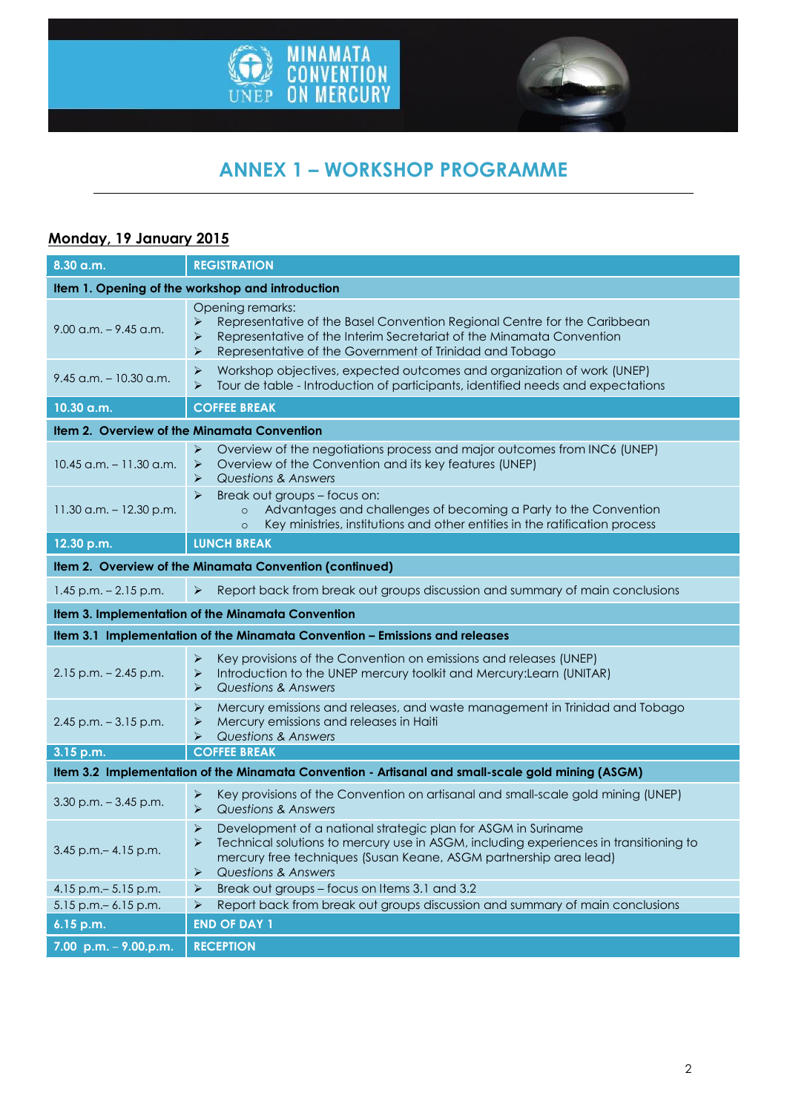



# **ANNEX 1 – WORKSHOP PROGRAMME**

# **Monday, 19 January 2015**

| 8.30 a.m.                                                                                         | <b>REGISTRATION</b>                                                                                                                                                                                                                                                                                                  |  |
|---------------------------------------------------------------------------------------------------|----------------------------------------------------------------------------------------------------------------------------------------------------------------------------------------------------------------------------------------------------------------------------------------------------------------------|--|
| Item 1. Opening of the workshop and introduction                                                  |                                                                                                                                                                                                                                                                                                                      |  |
| $9.00$ a.m. $-9.45$ a.m.                                                                          | Opening remarks:<br>Representative of the Basel Convention Regional Centre for the Caribbean<br>➤<br>Representative of the Interim Secretariat of the Minamata Convention<br>➤<br>Representative of the Government of Trinidad and Tobago<br>⋗                                                                       |  |
| $9.45$ a.m. - 10.30 a.m.                                                                          | Workshop objectives, expected outcomes and organization of work (UNEP)<br>➤<br>Tour de table - Introduction of participants, identified needs and expectations<br>$\blacktriangleright$                                                                                                                              |  |
| 10.30 a.m.                                                                                        | <b>COFFEE BREAK</b>                                                                                                                                                                                                                                                                                                  |  |
| Item 2. Overview of the Minamata Convention                                                       |                                                                                                                                                                                                                                                                                                                      |  |
| $10.45$ a.m. $-11.30$ a.m.                                                                        | Overview of the negotiations process and major outcomes from INC6 (UNEP)<br>➤<br>Overview of the Convention and its key features (UNEP)<br>$\blacktriangleright$<br><b>Questions &amp; Answers</b><br>⋗                                                                                                              |  |
| $11.30$ a.m. $-12.30$ p.m.                                                                        | $\blacktriangleright$<br>Break out groups - focus on:<br>Advantages and challenges of becoming a Party to the Convention<br>$\circ$<br>Key ministries, institutions and other entities in the ratification process<br>$\circ$                                                                                        |  |
| 12.30 p.m.                                                                                        | <b>LUNCH BREAK</b>                                                                                                                                                                                                                                                                                                   |  |
| Item 2. Overview of the Minamata Convention (continued)                                           |                                                                                                                                                                                                                                                                                                                      |  |
| $1.45$ p.m. $- 2.15$ p.m.                                                                         | Report back from break out groups discussion and summary of main conclusions<br>$\blacktriangleright$                                                                                                                                                                                                                |  |
|                                                                                                   | Item 3. Implementation of the Minamata Convention                                                                                                                                                                                                                                                                    |  |
|                                                                                                   | Item 3.1 Implementation of the Minamata Convention - Emissions and releases                                                                                                                                                                                                                                          |  |
| $2.15$ p.m. $- 2.45$ p.m.                                                                         | Key provisions of the Convention on emissions and releases (UNEP)<br>➤<br>Introduction to the UNEP mercury toolkit and Mercury: Learn (UNITAR)<br>➤<br><b>Questions &amp; Answers</b><br>➤                                                                                                                           |  |
| $2.45$ p.m. $-3.15$ p.m.                                                                          | Mercury emissions and releases, and waste management in Trinidad and Tobago<br>➤<br>Mercury emissions and releases in Haiti<br>➤<br><b>Questions &amp; Answers</b><br>⋗                                                                                                                                              |  |
| 3.15 p.m.                                                                                         | <b>COFFEE BREAK</b>                                                                                                                                                                                                                                                                                                  |  |
| Item 3.2 Implementation of the Minamata Convention - Artisanal and small-scale gold mining (ASGM) |                                                                                                                                                                                                                                                                                                                      |  |
| $3.30$ p.m. $-3.45$ p.m.                                                                          | Key provisions of the Convention on artisanal and small-scale gold mining (UNEP)<br>➤<br><b>Questions &amp; Answers</b><br>➤                                                                                                                                                                                         |  |
| $3.45$ p.m. $-4.15$ p.m.                                                                          | $\blacktriangleright$<br>Development of a national strategic plan for ASGM in Suriname<br>Technical solutions to mercury use in ASGM, including experiences in transitioning to<br>⋗<br>mercury free techniques (Susan Keane, ASGM partnership area lead)<br><b>Questions &amp; Answers</b><br>$\blacktriangleright$ |  |
| 4.15 p.m. - 5.15 p.m.                                                                             | Break out groups - focus on Items 3.1 and 3.2<br>➤                                                                                                                                                                                                                                                                   |  |
| 5.15 p.m. - 6.15 p.m.<br>6.15 p.m.                                                                | Report back from break out groups discussion and summary of main conclusions<br>➤<br><b>END OF DAY 1</b>                                                                                                                                                                                                             |  |
|                                                                                                   |                                                                                                                                                                                                                                                                                                                      |  |
| 7.00 p.m. $-$ 9.00.p.m.                                                                           | <b>RECEPTION</b>                                                                                                                                                                                                                                                                                                     |  |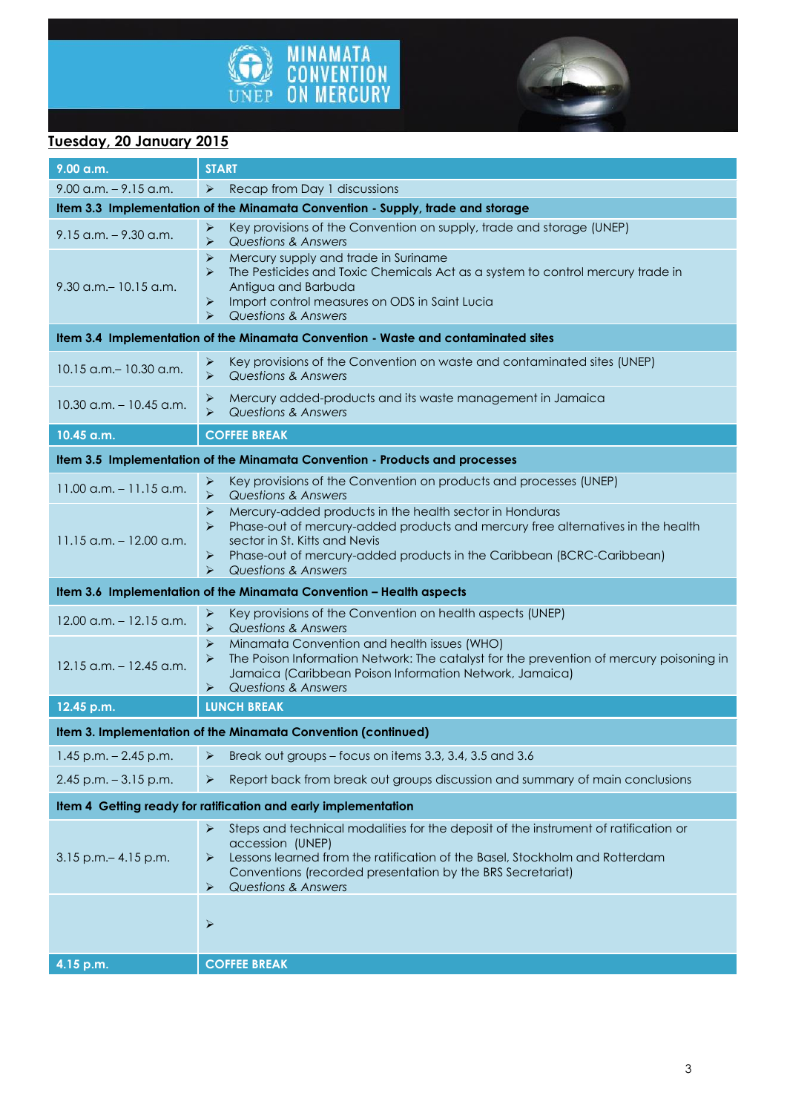



# **Tuesday, 20 January 2015**

| 9.00 a.m.                                                                   | <b>START</b>                                                                                                                                                                                                                                                                                                                                       |  |  |
|-----------------------------------------------------------------------------|----------------------------------------------------------------------------------------------------------------------------------------------------------------------------------------------------------------------------------------------------------------------------------------------------------------------------------------------------|--|--|
| $9.00$ a.m. $-9.15$ a.m.                                                    | Recap from Day 1 discussions<br>➤                                                                                                                                                                                                                                                                                                                  |  |  |
|                                                                             | Item 3.3 Implementation of the Minamata Convention - Supply, trade and storage                                                                                                                                                                                                                                                                     |  |  |
| $9.15$ a.m. $-9.30$ a.m.                                                    | Key provisions of the Convention on supply, trade and storage (UNEP)<br>➤<br><b>Questions &amp; Answers</b><br>$\blacktriangleright$                                                                                                                                                                                                               |  |  |
| $9.30$ a.m. $-10.15$ a.m.                                                   | Mercury supply and trade in Suriname<br>➤<br>$\blacktriangleright$<br>The Pesticides and Toxic Chemicals Act as a system to control mercury trade in<br>Antigua and Barbuda<br>Import control measures on ODS in Saint Lucia<br>$\blacktriangleright$<br>Questions & Answers<br>⋗                                                                  |  |  |
|                                                                             | Item 3.4 Implementation of the Minamata Convention - Waste and contaminated sites                                                                                                                                                                                                                                                                  |  |  |
| $10.15$ a.m. $- 10.30$ a.m.                                                 | Key provisions of the Convention on waste and contaminated sites (UNEP)<br>➤<br>$\blacktriangleright$<br>Questions & Answers                                                                                                                                                                                                                       |  |  |
| $10.30$ a.m. $-10.45$ a.m.                                                  | Mercury added-products and its waste management in Jamaica<br>➤<br><b>Questions &amp; Answers</b><br>⋗                                                                                                                                                                                                                                             |  |  |
| 10.45 a.m.                                                                  | <b>COFFEE BREAK</b>                                                                                                                                                                                                                                                                                                                                |  |  |
| Item 3.5 Implementation of the Minamata Convention - Products and processes |                                                                                                                                                                                                                                                                                                                                                    |  |  |
| $11.00$ a.m. $- 11.15$ a.m.                                                 | Key provisions of the Convention on products and processes (UNEP)<br>➤<br><b>Questions &amp; Answers</b><br>$\blacktriangleright$                                                                                                                                                                                                                  |  |  |
| $11.15$ a.m. $-12.00$ a.m.                                                  | Mercury-added products in the health sector in Honduras<br>➤<br>$\blacktriangleright$<br>Phase-out of mercury-added products and mercury free alternatives in the health<br>sector in St. Kitts and Nevis<br>Phase-out of mercury-added products in the Caribbean (BCRC-Caribbean)<br>$\blacktriangleright$<br><b>Questions &amp; Answers</b><br>⋗ |  |  |
| Item 3.6 Implementation of the Minamata Convention - Health aspects         |                                                                                                                                                                                                                                                                                                                                                    |  |  |
| $12.00$ a.m. $-12.15$ a.m.                                                  | Key provisions of the Convention on health aspects (UNEP)<br>➤<br>$\blacktriangleright$<br>Questions & Answers                                                                                                                                                                                                                                     |  |  |
| $12.15$ a.m. $- 12.45$ a.m.                                                 | Minamata Convention and health issues (WHO)<br>➤<br>The Poison Information Network: The catalyst for the prevention of mercury poisoning in<br>➤<br>Jamaica (Caribbean Poison Information Network, Jamaica)<br>Questions & Answers<br>⋗                                                                                                            |  |  |
| 12.45 p.m.                                                                  | <b>LUNCH BREAK</b>                                                                                                                                                                                                                                                                                                                                 |  |  |
| Item 3. Implementation of the Minamata Convention (continued)               |                                                                                                                                                                                                                                                                                                                                                    |  |  |
| $1.45$ p.m. $- 2.45$ p.m.                                                   | Break out groups - focus on items 3.3, 3.4, 3.5 and 3.6<br>➤                                                                                                                                                                                                                                                                                       |  |  |
| $2.45$ p.m. $-3.15$ p.m.                                                    | Report back from break out groups discussion and summary of main conclusions<br>➤                                                                                                                                                                                                                                                                  |  |  |
| Item 4 Getting ready for ratification and early implementation              |                                                                                                                                                                                                                                                                                                                                                    |  |  |
| $3.15$ p.m. $- 4.15$ p.m.                                                   | Steps and technical modalities for the deposit of the instrument of ratification or<br>➤<br>accession (UNEP)<br>Lessons learned from the ratification of the Basel, Stockholm and Rotterdam<br>➤<br>Conventions (recorded presentation by the BRS Secretariat)<br><b>Questions &amp; Answers</b><br>➤                                              |  |  |
|                                                                             | ➤                                                                                                                                                                                                                                                                                                                                                  |  |  |
| 4.15 p.m.                                                                   | <b>COFFEE BREAK</b>                                                                                                                                                                                                                                                                                                                                |  |  |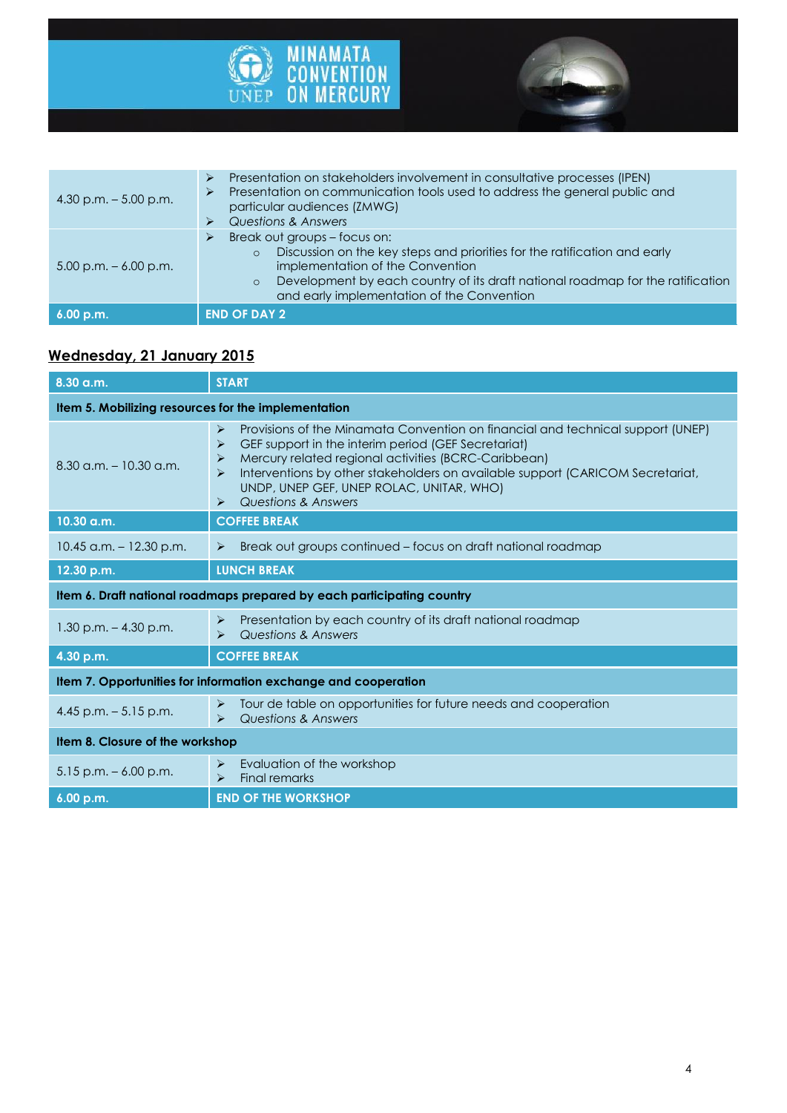



| 4.30 p.m. $-5.00$ p.m.   | Presentation on stakeholders involvement in consultative processes (IPEN)<br>⋗<br>Presentation on communication tools used to address the general public and<br>$\blacktriangleright$<br>particular audiences (ZMWG)<br><b>Questions &amp; Answers</b><br>⋗                                              |
|--------------------------|----------------------------------------------------------------------------------------------------------------------------------------------------------------------------------------------------------------------------------------------------------------------------------------------------------|
| $5.00$ p.m. $-6.00$ p.m. | Break out groups - focus on:<br>⋗<br>Discussion on the key steps and priorities for the ratification and early<br>$\circ$<br>implementation of the Convention<br>Development by each country of its draft national roadmap for the ratification<br>$\circ$<br>and early implementation of the Convention |
| 6.00 p.m.                | <b>END OF DAY 2</b>                                                                                                                                                                                                                                                                                      |

# **Wednesday, 21 January 2015**

| $8.30$ a.m.                                                            | <b>START</b>                                                                                                                                                                                                                                                                                                                                                                                     |  |
|------------------------------------------------------------------------|--------------------------------------------------------------------------------------------------------------------------------------------------------------------------------------------------------------------------------------------------------------------------------------------------------------------------------------------------------------------------------------------------|--|
| Item 5. Mobilizing resources for the implementation                    |                                                                                                                                                                                                                                                                                                                                                                                                  |  |
| $8.30$ a.m. $-10.30$ a.m.                                              | Provisions of the Minamata Convention on financial and technical support (UNEP)<br>⋗<br>GEF support in the interim period (GEF Secretariat)<br>⋗<br>Mercury related regional activities (BCRC-Caribbean)<br>⋗<br>Interventions by other stakeholders on available support (CARICOM Secretariat,<br>⋗<br>UNDP, UNEP GEF, UNEP ROLAC, UNITAR, WHO)<br>Questions & Answers<br>$\blacktriangleright$ |  |
| 10.30 a.m.                                                             | <b>COFFEE BREAK</b>                                                                                                                                                                                                                                                                                                                                                                              |  |
| $10.45$ a.m. $-12.30$ p.m.                                             | Break out groups continued - focus on draft national roadmap<br>$\blacktriangleright$                                                                                                                                                                                                                                                                                                            |  |
| 12.30 p.m.                                                             | <b>LUNCH BREAK</b>                                                                                                                                                                                                                                                                                                                                                                               |  |
| Item 6. Draft national roadmaps prepared by each participating country |                                                                                                                                                                                                                                                                                                                                                                                                  |  |
| $1.30$ p.m. $- 4.30$ p.m.                                              | Presentation by each country of its draft national roadmap<br>➤<br>Questions & Answers<br>⋗                                                                                                                                                                                                                                                                                                      |  |
| 4.30 p.m.                                                              | <b>COFFEE BREAK</b>                                                                                                                                                                                                                                                                                                                                                                              |  |
| Item 7. Opportunities for information exchange and cooperation         |                                                                                                                                                                                                                                                                                                                                                                                                  |  |
| 4.45 p.m. $-5.15$ p.m.                                                 | Tour de table on opportunities for future needs and cooperation<br>➤<br>Questions & Answers<br>$\blacktriangleright$                                                                                                                                                                                                                                                                             |  |
| Item 8. Closure of the workshop                                        |                                                                                                                                                                                                                                                                                                                                                                                                  |  |
| $5.15$ p.m. $-6.00$ p.m.                                               | Evaluation of the workshop<br>➤<br><b>Final remarks</b><br>$\blacktriangleright$                                                                                                                                                                                                                                                                                                                 |  |
| 6.00 p.m.                                                              | <b>END OF THE WORKSHOP</b>                                                                                                                                                                                                                                                                                                                                                                       |  |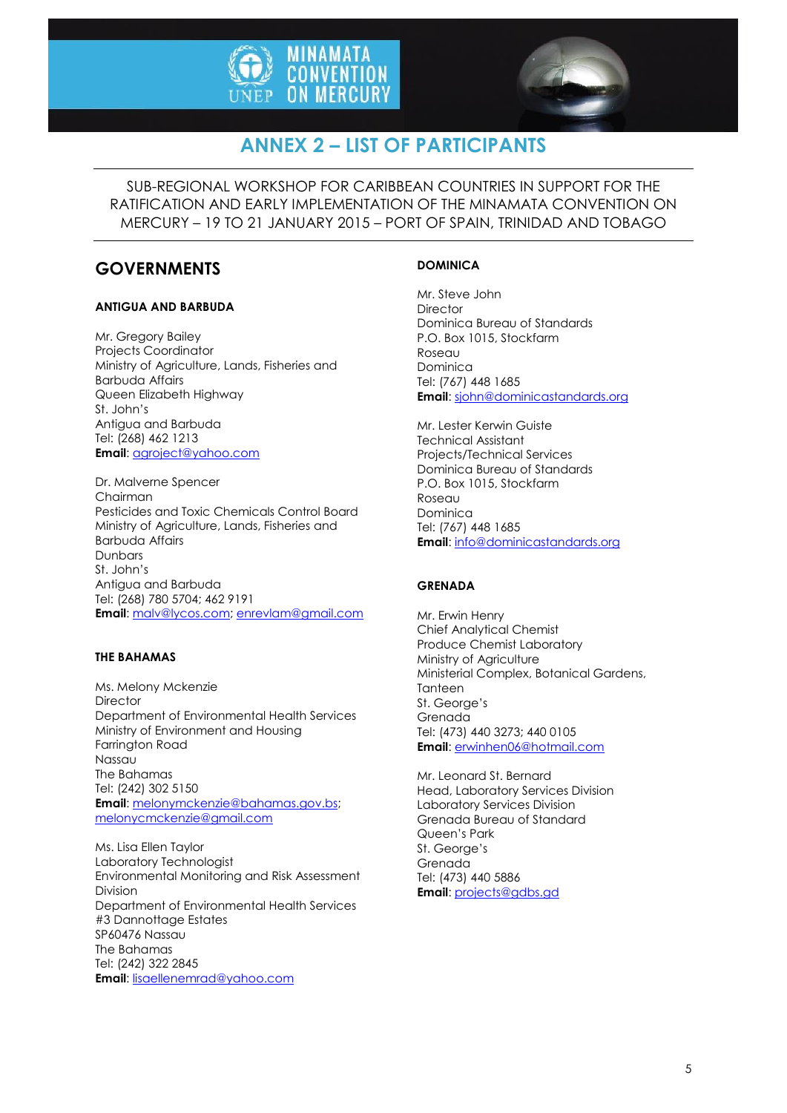



# **ANNEX 2 – LIST OF PARTICIPANTS**

SUB-REGIONAL WORKSHOP FOR CARIBBEAN COUNTRIES IN SUPPORT FOR THE RATIFICATION AND EARLY IMPLEMENTATION OF THE MINAMATA CONVENTION ON MERCURY – 19 TO 21 JANUARY 2015 – PORT OF SPAIN, TRINIDAD AND TOBAGO

# **GOVERNMENTS**

# **ANTIGUA AND BARBUDA**

Mr. Gregory Bailey Projects Coordinator Ministry of Agriculture, Lands, Fisheries and Barbuda Affairs Queen Elizabeth Highway St. John's Antigua and Barbuda Tel: (268) 462 1213 **Email**[: agroject@yahoo.com](mailto:agroject@yahoo.com)

Dr. Malverne Spencer Chairman Pesticides and Toxic Chemicals Control Board Ministry of Agriculture, Lands, Fisheries and Barbuda Affairs **Dunbars** St. John's Antigua and Barbuda Tel: (268) 780 5704; 462 9191 **Email**[: malv@lycos.com;](file:///C:/Users/menard/AppData/Local/Temp/notes5F35B5/malv@lycos.com) enrevlam@gmail.com

# **THE BAHAMAS**

Ms. Melony Mckenzie **Director** Department of Environmental Health Services Ministry of Environment and Housing Farrington Road Nassau The Bahamas Tel: (242) 302 5150 **Email**[: melonymckenzie@bahamas.gov.bs;](mailto:melonymckenzie@bahamas.gov.bs) [melonycmckenzie@gmail.com](mailto:msolano@minae.go.cr)

Ms. Lisa Ellen Taylor Laboratory Technologist Environmental Monitoring and Risk Assessment Division Department of Environmental Health Services #3 Dannottage Estates SP60476 Nassau The Bahamas Tel: (242) 322 2845 **Email**[: lisaellenemrad@yahoo.com](mailto:lisaellenemrad@yahoo.com)

# **DOMINICA**

Mr. Steve John **Director** Dominica Bureau of Standards P.O. Box 1015, Stockfarm Roseau Dominica Tel: (767) 448 1685 **Email**: [sjohn@dominicastandards.org](mailto:sjohn@dominicastandards.org)

Mr. Lester Kerwin Guiste Technical Assistant Projects/Technical Services Dominica Bureau of Standards P.O. Box 1015, Stockfarm Roseau Dominica Tel: (767) 448 1685 **Email**: [info@dominicastandards.org](mailto:info@dominicastandards.org)

# **GRENADA**

Mr. Erwin Henry Chief Analytical Chemist Produce Chemist Laboratory Ministry of Agriculture Ministerial Complex, Botanical Gardens, **Tanteen** St. George's Grenada Tel: (473) 440 3273; 440 0105 **Email**: [erwinhen06@hotmail.com](mailto:erwinhen06@hotmail.com)

Mr. Leonard St. Bernard Head, Laboratory Services Division Laboratory Services Division Grenada Bureau of Standard Queen's Park St. George's Grenada Tel: (473) 440 5886 **Email**: [projects@gdbs.gd](mailto:projects@gdbs.gd)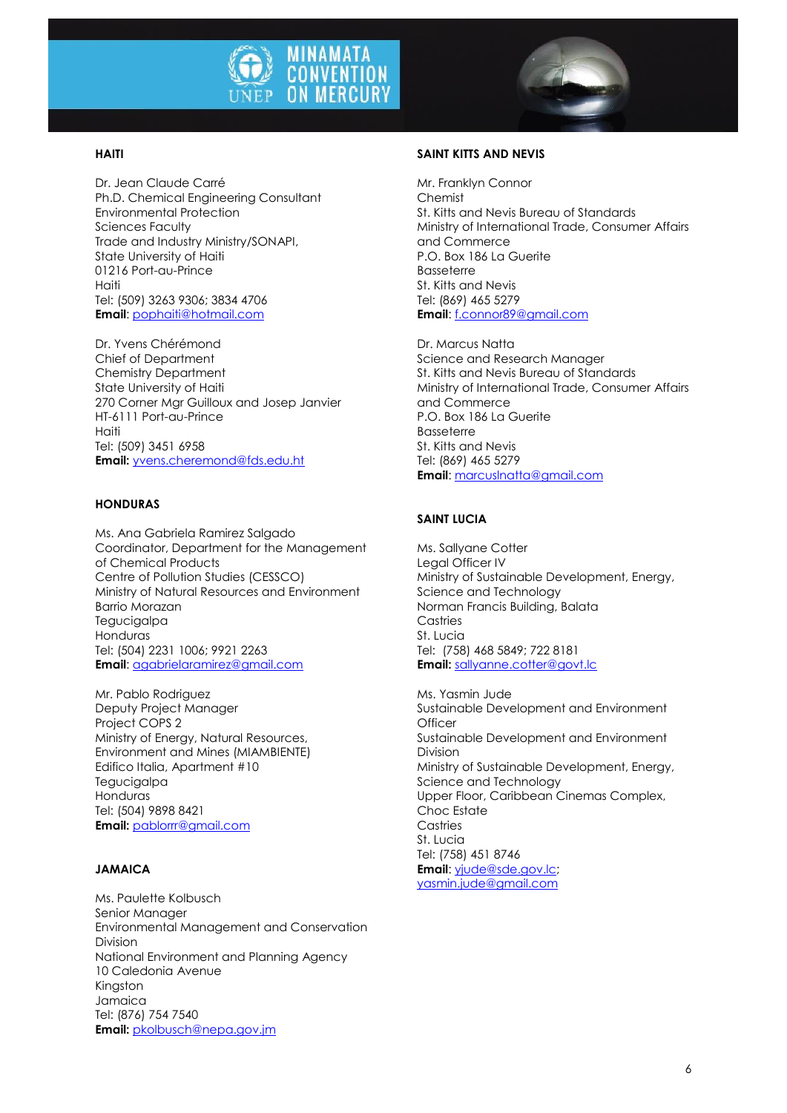

### **HAITI**

Dr. Jean Claude Carré Ph.D. Chemical Engineering Consultant Environmental Protection Sciences Faculty Trade and Industry Ministry/SONAPI, State University of Haiti 01216 Port-au-Prince Haiti Tel: (509) 3263 9306; 3834 4706 **Email**[: pophaiti@hotmail.com](mailto:pophaiti@hotmail.com)

Dr. Yvens Chérémond Chief of Department Chemistry Department State University of Haiti 270 Corner Mgr Guilloux and Josep Janvier HT-6111 Port-au-Prince Haiti Tel: (509) 3451 6958 **Email:** [yvens.cheremond@fds.edu.ht](mailto:yvens.cheremond@fds.edu.ht)

#### **HONDURAS**

Ms. Ana Gabriela Ramirez Salgado Coordinator, Department for the Management of Chemical Products Centre of Pollution Studies (CESSCO) Ministry of Natural Resources and Environment Barrio Morazan **Tegucigalpa** Honduras Tel: (504) 2231 1006; 9921 2263 **Email**[: agabrielaramirez@gmail.com](mailto:agabrielaramirez@gmail.com)

Mr. Pablo Rodriguez Deputy Project Manager Project COPS 2 Ministry of Energy, Natural Resources, Environment and Mines (MIAMBIENTE) Edifico Italia, Apartment #10 **Tegucigalpa** Honduras Tel: (504) 9898 8421 **Email:** [pablorrr@gmail.com](mailto:pablorrr@gmail.com)

#### **JAMAICA**

Ms. Paulette Kolbusch Senior Manager Environmental Management and Conservation Division National Environment and Planning Agency 10 Caledonia Avenue Kingston Jamaica Tel: (876) 754 7540 **Email:** [pkolbusch@nepa.gov.jm](mailto:pkolbusch@nepa.gov.jm)

### **SAINT KITTS AND NEVIS**

Mr. Franklyn Connor Chemist St. Kitts and Nevis Bureau of Standards Ministry of International Trade, Consumer Affairs and Commerce P.O. Box 186 La Guerite Basseterre St. Kitts and Nevis Tel: (869) 465 5279 **Email**: [f.connor89@gmail.com](mailto:f.connor89@gmail.com)

Dr. Marcus Natta Science and Research Manager St. Kitts and Nevis Bureau of Standards Ministry of International Trade, Consumer Affairs and Commerce P.O. Box 186 La Guerite Basseterre St. Kitts and Nevis Tel: (869) 465 5279 **Email**: [marcuslnatta@gmail.com](mailto:marcuslnatta@gmail.com)

### **SAINT LUCIA**

Ms. Sallyane Cotter Legal Officer IV Ministry of Sustainable Development, Energy, Science and Technology Norman Francis Building, Balata Castries St. Lucia Tel: (758) 468 5849; 722 8181 **Email:** [sallyanne.cotter@govt.lc](mailto:sallyanne.cotter@govt.lc)

Ms. Yasmin Jude Sustainable Development and Environment **Officer** Sustainable Development and Environment Division Ministry of Sustainable Development, Energy, Science and Technology Upper Floor, Caribbean Cinemas Complex, Choc Estate **Castries** St. Lucia Tel: (758) 451 8746 **Email**: [yjude@sde.gov.lc;](mailto:yjude@sde.gov.lc) [yasmin.jude@gmail.com](mailto:yasmin.jude@gmail.com)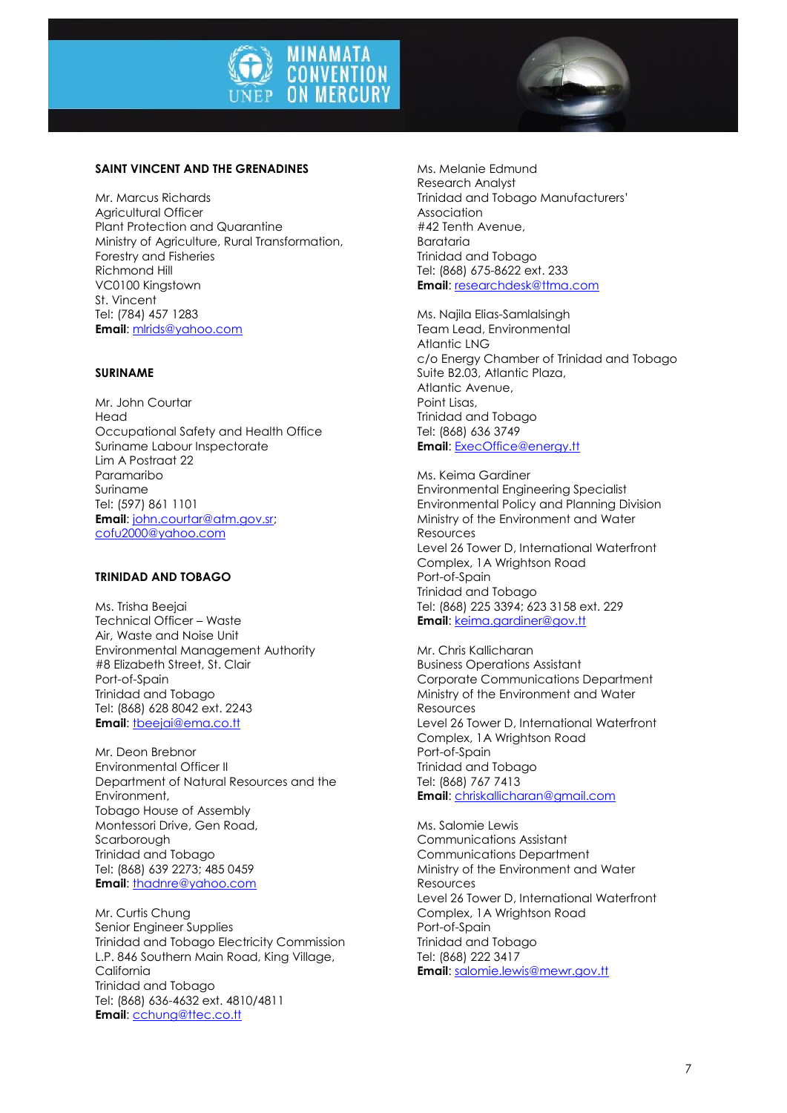



## **SAINT VINCENT AND THE GRENADINES**

Mr. Marcus Richards Agricultural Officer Plant Protection and Quarantine Ministry of Agriculture, Rural Transformation, Forestry and Fisheries Richmond Hill VC0100 Kingstown St. Vincent Tel: (784) 457 1283 **Email**[: mlrids@yahoo.com](mailto:mlrids@yahoo.com)

#### **SURINAME**

Mr. John Courtar Head Occupational Safety and Health Office Suriname Labour Inspectorate Lim A Postraat 22 Paramaribo Suriname Tel: (597) 861 1101 **Email**[: john.courtar@atm.gov.sr;](mailto:john.courtar@atm.gov.sr) [cofu2000@yahoo.com](mailto:cofu2000@yahoo.com)

# **TRINIDAD AND TOBAGO**

Ms. Trisha Beejai Technical Officer – Waste Air, Waste and Noise Unit Environmental Management Authority #8 Elizabeth Street, St. Clair Port-of-Spain Trinidad and Tobago Tel: (868) 628 8042 ext. 2243 **Email**[: tbeejai@ema.co.tt](mailto:tbeejai@ema.co.tt)

Mr. Deon Brebnor Environmental Officer II Department of Natural Resources and the Environment, Tobago House of Assembly Montessori Drive, Gen Road, Scarborough Trinidad and Tobago Tel: (868) 639 2273; 485 0459 **Email**[: thadnre@yahoo.com](mailto:thadnre@yahoo.com)

Mr. Curtis Chung Senior Engineer Supplies Trinidad and Tobago Electricity Commission L.P. 846 Southern Main Road, King Village, California Trinidad and Tobago Tel: (868) 636-4632 ext. 4810/4811 **Email: [cchung@ttec.co.tt](mailto:cchung@ttec.co.tt)** 

Ms. Melanie Edmund Research Analyst Trinidad and Tobago Manufacturers' Association #42 Tenth Avenue, Barataria Trinidad and Tobago Tel: (868) 675-8622 ext. 233 **Email**: [researchdesk@ttma.com](mailto:researchdesk@ttma.com)

Ms. Najila Elias-Samlalsingh Team Lead, Environmental Atlantic LNG c/o Energy Chamber of Trinidad and Tobago Suite B2.03, Atlantic Plaza, Atlantic Avenue, Point Lisas Trinidad and Tobago Tel: (868) 636 3749 **Email**: [ExecOffice@energy.tt](mailto:ExecOffice@energy.tt)

Ms. Keima Gardiner Environmental Engineering Specialist Environmental Policy and Planning Division Ministry of the Environment and Water **Resources** Level 26 Tower D, International Waterfront Complex, 1A Wrightson Road Port-of-Spain Trinidad and Tobago Tel: (868) 225 3394; 623 3158 ext. 229 **Email**: [keima.gardiner@gov.tt](mailto:keima.gardiner@gov.tt)

Mr. Chris Kallicharan Business Operations Assistant Corporate Communications Department Ministry of the Environment and Water Resources Level 26 Tower D, International Waterfront Complex, 1A Wrightson Road Port-of-Spain Trinidad and Tobago Tel: (868) 767 7413 **Email**: [chriskallicharan@gmail.com](mailto:chriskallicharan@gmail.com)

Ms. Salomie Lewis Communications Assistant Communications Department Ministry of the Environment and Water Resources Level 26 Tower D, International Waterfront Complex, 1A Wrightson Road Port-of-Spain Trinidad and Tobago Tel: (868) 222 3417 **Email**: [salomie.lewis@mewr.gov.tt](mailto:salomie.lewis@mewr.gov.tt)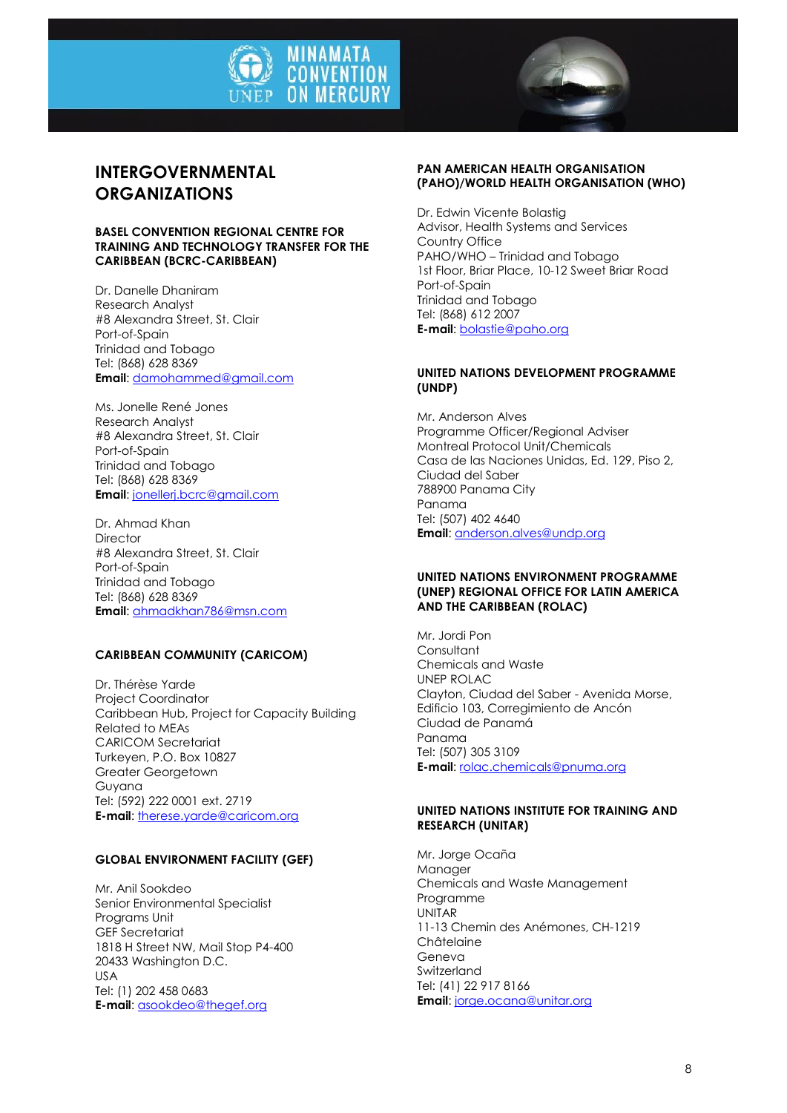



# **INTERGOVERNMENTAL ORGANIZATIONS**

#### **BASEL CONVENTION REGIONAL CENTRE FOR TRAINING AND TECHNOLOGY TRANSFER FOR THE CARIBBEAN (BCRC-CARIBBEAN)**

Dr. Danelle Dhaniram Research Analyst #8 Alexandra Street, St. Clair Port-of-Spain Trinidad and Tobago Tel: (868) 628 8369 **Email**[: damohammed@gmail.com](mailto:damohammed@gmail.com)

Ms. Jonelle René Jones Research Analyst #8 Alexandra Street, St. Clair Port-of-Spain Trinidad and Tobago Tel: (868) 628 8369 **Email**[: jonellerj.bcrc@gmail.com](mailto:jonellerj.bcrc@gmail.com)

Dr. Ahmad Khan Director #8 Alexandra Street, St. Clair Port-of-Spain Trinidad and Tobago Tel: (868) 628 8369 **Email**[: ahmadkhan786@msn.com](mailto:ahmadkhan786@msn.com)

# **CARIBBEAN COMMUNITY (CARICOM)**

Dr. Thérèse Yarde Project Coordinator Caribbean Hub, Project for Capacity Building Related to MEAs CARICOM Secretariat Turkeyen, P.O. Box 10827 Greater Georgetown Guyana Tel: (592) 222 0001 ext. 2719 **E-mail**: [therese.yarde@caricom.org](mailto:therese.yarde@caricom.org)

#### **GLOBAL ENVIRONMENT FACILITY (GEF)**

Mr. Anil Sookdeo Senior Environmental Specialist Programs Unit GEF Secretariat 1818 H Street NW, Mail Stop P4-400 20433 Washington D.C. USA Tel: (1) 202 458 0683 **E-mail**: [asookdeo@thegef.org](file:///C:/Users/menard/AppData/Local/Temp/notes5F35B5/asookdeo@thegef.org)

#### **PAN AMERICAN HEALTH ORGANISATION (PAHO)/WORLD HEALTH ORGANISATION (WHO)**

Dr. Edwin Vicente Bolastig Advisor, Health Systems and Services Country Office PAHO/WHO – Trinidad and Tobago 1st Floor, Briar Place, 10-12 Sweet Briar Road Port-of-Spain Trinidad and Tobago Tel: (868) 612 2007 **E-mail**: [bolastie@paho.org](file:///C:/Users/menard/AppData/Local/Temp/notes5F35B5/bolastie@paho.org)

### **UNITED NATIONS DEVELOPMENT PROGRAMME (UNDP)**

Mr. Anderson Alves Programme Officer/Regional Adviser Montreal Protocol Unit/Chemicals Casa de las Naciones Unidas, Ed. 129, Piso 2, Ciudad del Saber 788900 Panama City Panama Tel: (507) 402 4640 **Email**: [anderson.alves@undp.org](file:///C:/Users/menard/AppData/Local/Temp/notes5F35B5/anderson.alves@undp.org)

#### **UNITED NATIONS ENVIRONMENT PROGRAMME (UNEP) REGIONAL OFFICE FOR LATIN AMERICA AND THE CARIBBEAN (ROLAC)**

Mr. Jordi Pon **Consultant** Chemicals and Waste UNEP ROLAC Clayton, Ciudad del Saber - Avenida Morse, Edificio 103, Corregimiento de Ancón Ciudad de Panamá Panama Tel: (507) 305 3109 **E-mail**: [rolac.chemicals@pnuma.org](mailto:rolac.chemicals@pnuma.org)

### **UNITED NATIONS INSTITUTE FOR TRAINING AND RESEARCH (UNITAR)**

Mr. Jorge Ocaña Manager Chemicals and Waste Management Programme UNITAR 11-13 Chemin des Anémones, CH-1219 Châtelaine Geneva **Switzerland** Tel: (41) 22 917 8166 **Email**: [jorge.ocana@unitar.org](mailto:jorge.ocana@unitar.org)